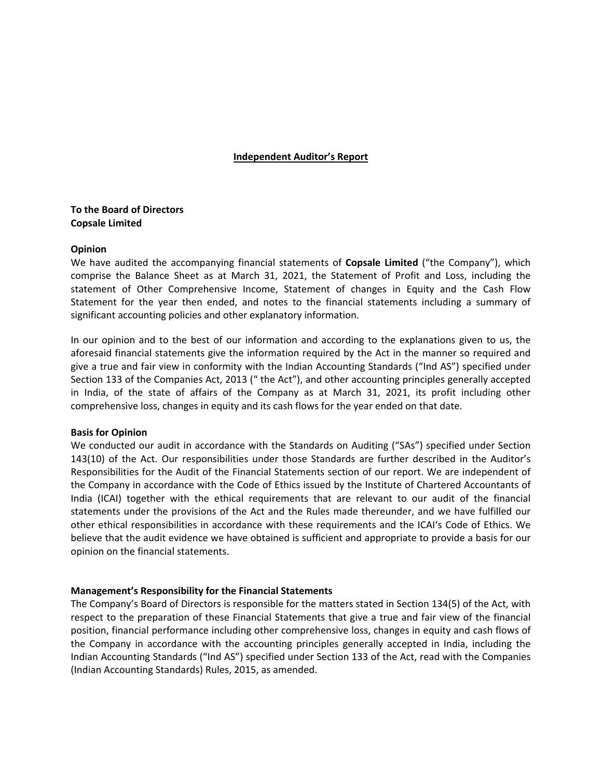# **Independent Auditor's Report**

# **To the Board of Directors Copsale Limited**

# **Opinion**

We have audited the accompanying financial statements of **Copsale Limited** ("the Company"), which comprise the Balance Sheet as at March 31, 2021, the Statement of Profit and Loss, including the statement of Other Comprehensive Income, Statement of changes in Equity and the Cash Flow Statement for the year then ended, and notes to the financial statements including a summary of significant accounting policies and other explanatory information.

In our opinion and to the best of our information and according to the explanations given to us, the aforesaid financial statements give the information required by the Act in the manner so required and give a true and fair view in conformity with the Indian Accounting Standards ("Ind AS") specified under Section 133 of the Companies Act, 2013 (" the Act"), and other accounting principles generally accepted in India, of the state of affairs of the Company as at March 31, 2021, its profit including other comprehensive loss, changes in equity and its cash flows for the year ended on that date.

# **Basis for Opinion**

We conducted our audit in accordance with the Standards on Auditing ("SAs") specified under Section 143(10) of the Act. Our responsibilities under those Standards are further described in the Auditor's Responsibilities for the Audit of the Financial Statements section of our report. We are independent of the Company in accordance with the Code of Ethics issued by the Institute of Chartered Accountants of India (ICAI) together with the ethical requirements that are relevant to our audit of the financial statements under the provisions of the Act and the Rules made thereunder, and we have fulfilled our other ethical responsibilities in accordance with these requirements and the ICAI's Code of Ethics. We believe that the audit evidence we have obtained is sufficient and appropriate to provide a basis for our opinion on the financial statements.

# **Management's Responsibility for the Financial Statements**

The Company's Board of Directors is responsible for the matters stated in Section 134(5) of the Act, with respect to the preparation of these Financial Statements that give a true and fair view of the financial position, financial performance including other comprehensive loss, changes in equity and cash flows of the Company in accordance with the accounting principles generally accepted in India, including the Indian Accounting Standards ("Ind AS") specified under Section 133 of the Act, read with the Companies (Indian Accounting Standards) Rules, 2015, as amended.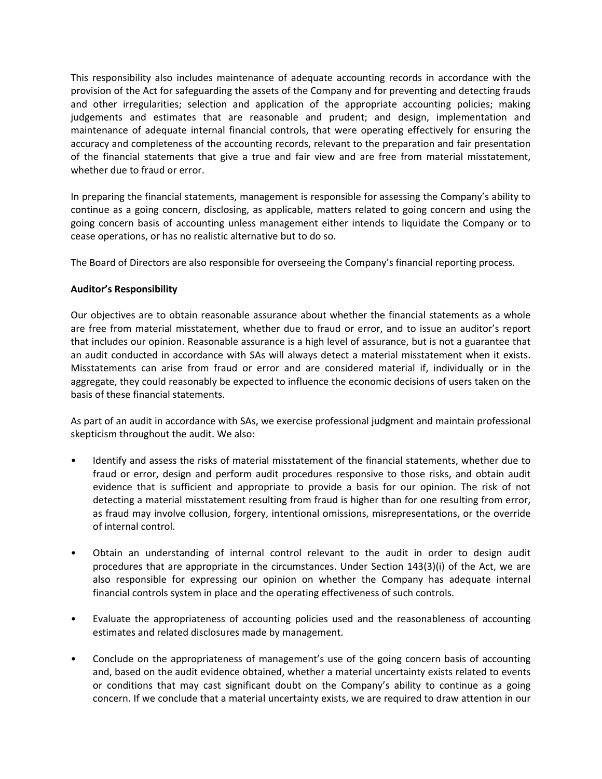This responsibility also includes maintenance of adequate accounting records in accordance with the provision of the Act for safeguarding the assets of the Company and for preventing and detecting frauds and other irregularities; selection and application of the appropriate accounting policies; making judgements and estimates that are reasonable and prudent; and design, implementation and maintenance of adequate internal financial controls, that were operating effectively for ensuring the accuracy and completeness of the accounting records, relevant to the preparation and fair presentation of the financial statements that give a true and fair view and are free from material misstatement, whether due to fraud or error.

In preparing the financial statements, management is responsible for assessing the Company's ability to continue as a going concern, disclosing, as applicable, matters related to going concern and using the going concern basis of accounting unless management either intends to liquidate the Company or to cease operations, or has no realistic alternative but to do so.

The Board of Directors are also responsible for overseeing the Company's financial reporting process.

# **Auditor's Responsibility**

Our objectives are to obtain reasonable assurance about whether the financial statements as a whole are free from material misstatement, whether due to fraud or error, and to issue an auditor's report that includes our opinion. Reasonable assurance is a high level of assurance, but is not a guarantee that an audit conducted in accordance with SAs will always detect a material misstatement when it exists. Misstatements can arise from fraud or error and are considered material if, individually or in the aggregate, they could reasonably be expected to influence the economic decisions of users taken on the basis of these financial statements.

As part of an audit in accordance with SAs, we exercise professional judgment and maintain professional skepticism throughout the audit. We also:

- Identify and assess the risks of material misstatement of the financial statements, whether due to fraud or error, design and perform audit procedures responsive to those risks, and obtain audit evidence that is sufficient and appropriate to provide a basis for our opinion. The risk of not detecting a material misstatement resulting from fraud is higher than for one resulting from error, as fraud may involve collusion, forgery, intentional omissions, misrepresentations, or the override of internal control.
- Obtain an understanding of internal control relevant to the audit in order to design audit procedures that are appropriate in the circumstances. Under Section 143(3)(i) of the Act, we are also responsible for expressing our opinion on whether the Company has adequate internal financial controls system in place and the operating effectiveness of such controls.
- Evaluate the appropriateness of accounting policies used and the reasonableness of accounting estimates and related disclosures made by management.
- Conclude on the appropriateness of management's use of the going concern basis of accounting and, based on the audit evidence obtained, whether a material uncertainty exists related to events or conditions that may cast significant doubt on the Company's ability to continue as a going concern. If we conclude that a material uncertainty exists, we are required to draw attention in our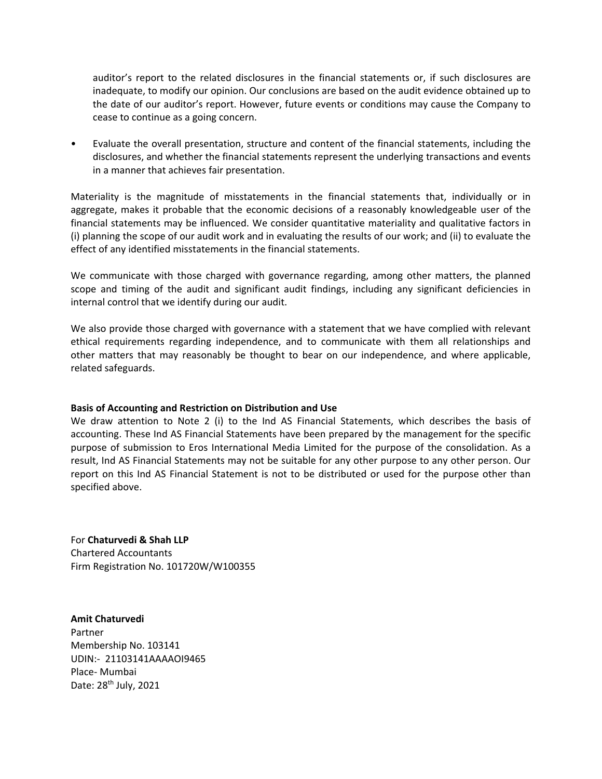auditor's report to the related disclosures in the financial statements or, if such disclosures are inadequate, to modify our opinion. Our conclusions are based on the audit evidence obtained up to the date of our auditor's report. However, future events or conditions may cause the Company to cease to continue as a going concern.

• Evaluate the overall presentation, structure and content of the financial statements, including the disclosures, and whether the financial statements represent the underlying transactions and events in a manner that achieves fair presentation.

Materiality is the magnitude of misstatements in the financial statements that, individually or in aggregate, makes it probable that the economic decisions of a reasonably knowledgeable user of the financial statements may be influenced. We consider quantitative materiality and qualitative factors in (i) planning the scope of our audit work and in evaluating the results of our work; and (ii) to evaluate the effect of any identified misstatements in the financial statements.

We communicate with those charged with governance regarding, among other matters, the planned scope and timing of the audit and significant audit findings, including any significant deficiencies in internal control that we identify during our audit.

We also provide those charged with governance with a statement that we have complied with relevant ethical requirements regarding independence, and to communicate with them all relationships and other matters that may reasonably be thought to bear on our independence, and where applicable, related safeguards.

# **Basis of Accounting and Restriction on Distribution and Use**

We draw attention to Note 2 (i) to the Ind AS Financial Statements, which describes the basis of accounting. These Ind AS Financial Statements have been prepared by the management for the specific purpose of submission to Eros International Media Limited for the purpose of the consolidation. As a result, Ind AS Financial Statements may not be suitable for any other purpose to any other person. Our report on this Ind AS Financial Statement is not to be distributed or used for the purpose other than specified above.

For **Chaturvedi & Shah LLP** Chartered Accountants Firm Registration No. 101720W/W100355

**Amit Chaturvedi** Partner Membership No. 103141 UDIN:‐ 21103141AAAAOI9465 Place‐ Mumbai Date: 28<sup>th</sup> July, 2021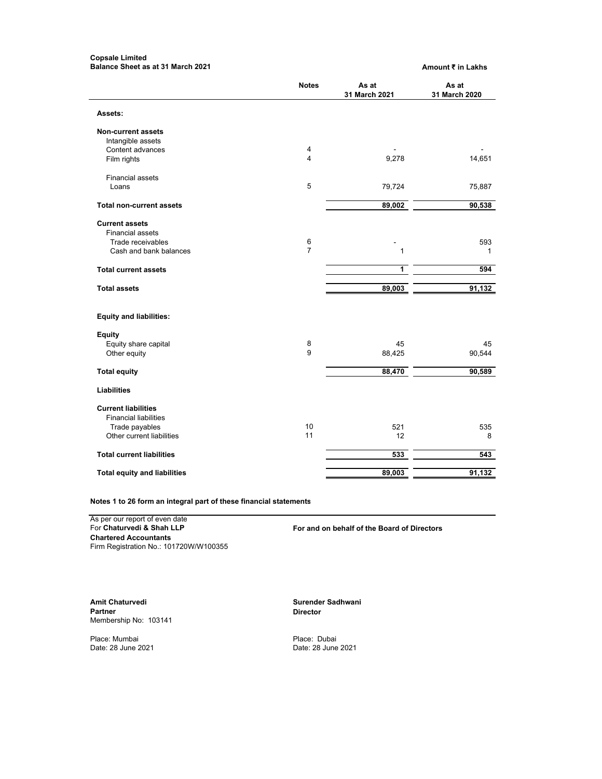#### **Copsale Limited Balance Sheet as at 31 March 2021 Amount ₹ in Lakhs**

|                                     | <b>Notes</b>            | As at<br>31 March 2021 | As at<br>31 March 2020 |
|-------------------------------------|-------------------------|------------------------|------------------------|
| Assets:                             |                         |                        |                        |
| <b>Non-current assets</b>           |                         |                        |                        |
| Intangible assets                   |                         |                        |                        |
| Content advances                    | 4                       |                        |                        |
| Film rights                         | $\overline{\mathbf{4}}$ | 9,278                  | 14,651                 |
| <b>Financial assets</b>             |                         |                        |                        |
| Loans                               | 5                       | 79,724                 | 75,887                 |
| <b>Total non-current assets</b>     |                         | 89,002                 | 90,538                 |
| <b>Current assets</b>               |                         |                        |                        |
| <b>Financial assets</b>             |                         |                        |                        |
| Trade receivables                   | 6                       |                        | 593                    |
| Cash and bank balances              | $\overline{7}$          | 1                      | 1                      |
| <b>Total current assets</b>         |                         | 1                      | 594                    |
| <b>Total assets</b>                 |                         | 89,003                 | 91,132                 |
| <b>Equity and liabilities:</b>      |                         |                        |                        |
| <b>Equity</b>                       |                         |                        |                        |
| Equity share capital                | 8                       | 45                     | 45                     |
| Other equity                        | 9                       | 88,425                 | 90,544                 |
| <b>Total equity</b>                 |                         | 88,470                 | 90,589                 |
| <b>Liabilities</b>                  |                         |                        |                        |
| <b>Current liabilities</b>          |                         |                        |                        |
| <b>Financial liabilities</b>        |                         |                        |                        |
| Trade payables                      | 10                      | 521                    | 535                    |
| Other current liabilities           | 11                      | 12                     | 8                      |
| <b>Total current liabilities</b>    |                         | 533                    | 543                    |
|                                     |                         | 89,003                 | 91,132                 |
| <b>Total equity and liabilities</b> |                         |                        |                        |

**Notes 1 to 26 form an integral part of these financial statements**

As per our report of even date<br>For Chaturvedi & Shah LLP **Chartered Accountants** Firm Registration No.: 101720W/W100355

For and on behalf of the Board of Directors

Amit Chaturvedi **Amit Chaturvedi** Surender Sadhwani **Partner** Surender Sadhwani **Partner** Surender Sadhwani **Partner** Membership No: 103141

Place: Mumbai Place: Dubai

**Director** 

Date: 28 June 2021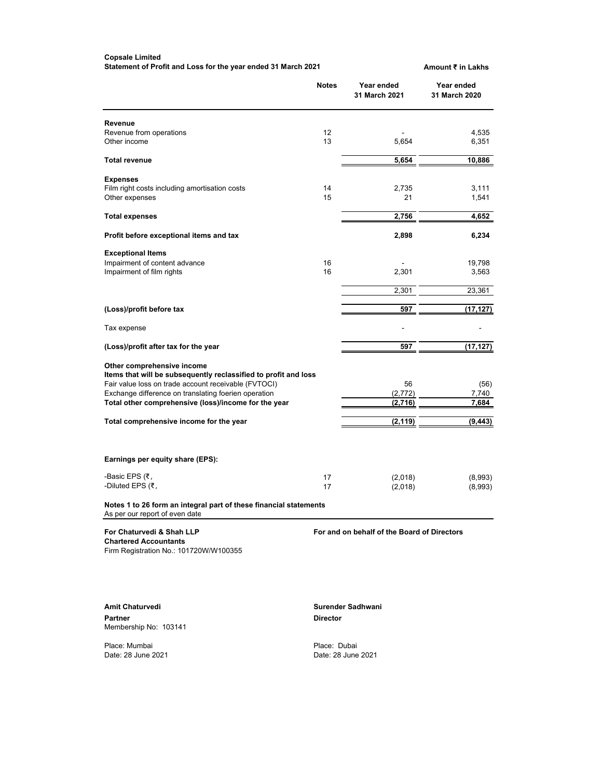#### **Copsale Limited Statement of Profit and Loss for the year ended 31 March 2021 <b>Amount ₹** in Lakhs

|                                                                                                                                                                                                                                                                       | <b>Notes</b>    | Year ended<br>31 March 2021                 | Year ended<br>31 March 2020 |
|-----------------------------------------------------------------------------------------------------------------------------------------------------------------------------------------------------------------------------------------------------------------------|-----------------|---------------------------------------------|-----------------------------|
| Revenue<br>Revenue from operations<br>Other income                                                                                                                                                                                                                    | 12<br>13        | 5,654                                       | 4,535<br>6,351              |
|                                                                                                                                                                                                                                                                       |                 |                                             |                             |
| <b>Total revenue</b>                                                                                                                                                                                                                                                  |                 | 5,654                                       | 10,886                      |
| <b>Expenses</b><br>Film right costs including amortisation costs<br>Other expenses                                                                                                                                                                                    | 14<br>15        | 2.735<br>21                                 | 3,111<br>1,541              |
| <b>Total expenses</b>                                                                                                                                                                                                                                                 |                 | 2,756                                       | 4,652                       |
| Profit before exceptional items and tax                                                                                                                                                                                                                               |                 | 2,898                                       | 6,234                       |
| <b>Exceptional Items</b><br>Impairment of content advance                                                                                                                                                                                                             | 16              |                                             | 19,798                      |
| Impairment of film rights                                                                                                                                                                                                                                             | 16              | 2,301                                       | 3,563                       |
|                                                                                                                                                                                                                                                                       |                 | 2,301                                       | 23,361                      |
| (Loss)/profit before tax                                                                                                                                                                                                                                              |                 | 597                                         | (17,127)                    |
| Tax expense                                                                                                                                                                                                                                                           |                 |                                             |                             |
| (Loss)/profit after tax for the year                                                                                                                                                                                                                                  |                 | 597                                         | (17,127)                    |
| Other comprehensive income<br>Items that will be subsequently reclassified to profit and loss<br>Fair value loss on trade account receivable (FVTOCI)<br>Exchange difference on translating foerien operation<br>Total other comprehensive (loss)/income for the year |                 | 56<br>(2, 772)<br>(2,716)                   | (56)<br>7,740<br>7,684      |
| Total comprehensive income for the year                                                                                                                                                                                                                               |                 | (2,119)                                     | (9, 443)                    |
| Earnings per equity share (EPS):                                                                                                                                                                                                                                      |                 |                                             |                             |
| -Basic EPS (₹,<br>-Diluted EPS $(7, 7)$                                                                                                                                                                                                                               | 17<br>17        | (2,018)<br>(2,018)                          | (8,993)<br>(8,993)          |
| Notes 1 to 26 form an integral part of these financial statements<br>As per our report of even date                                                                                                                                                                   |                 |                                             |                             |
| For Chaturvedi & Shah LLP<br><b>Chartered Accountants</b><br>Firm Registration No.: 101720W/W100355                                                                                                                                                                   |                 | For and on behalf of the Board of Directors |                             |
| <b>Amit Chaturvedi</b><br><b>Partner</b><br>Membership No: 103141                                                                                                                                                                                                     | <b>Director</b> | Surender Sadhwani                           |                             |

Place: Mumbai<br>Date: 28 June 2021

Place: Dubai<br>Date: 28 June 2021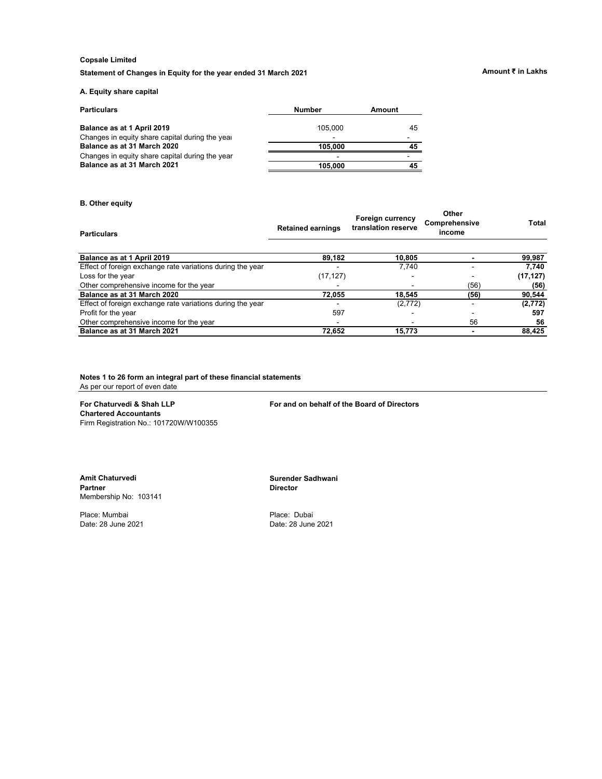Statement of Changes in Equity for the year ended 31 March 2021 **Amount** *₹* in Lakhs

# **A. Equity share capital**

| <b>Particulars</b>                              | <b>Number</b>            | Amount |
|-------------------------------------------------|--------------------------|--------|
| Balance as at 1 April 2019                      | 105.000                  | 45     |
| Changes in equity share capital during the year | -                        |        |
| Balance as at 31 March 2020                     | 105.000                  |        |
| Changes in equity share capital during the year | $\overline{\phantom{a}}$ |        |
| Balance as at 31 March 2021                     | 105.000                  |        |

### **B. Other equity**

| <b>Particulars</b>                                         | <b>Retained earnings</b> | <b>Foreign currency</b><br>translation reserve | Other<br>Comprehensive<br>income | Total     |
|------------------------------------------------------------|--------------------------|------------------------------------------------|----------------------------------|-----------|
| Balance as at 1 April 2019                                 | 89,182                   | 10,805                                         |                                  | 99,987    |
| Effect of foreign exchange rate variations during the year |                          | 7.740                                          |                                  | 7.740     |
| Loss for the year                                          | (17, 127)                |                                                |                                  | (17, 127) |
| Other comprehensive income for the year                    |                          |                                                | (56)                             | (56)      |
| Balance as at 31 March 2020                                | 72.055                   | 18.545                                         | (56)                             | 90,544    |
| Effect of foreign exchange rate variations during the year |                          | (2,772)                                        |                                  | (2, 772)  |
| Profit for the year                                        | 597                      |                                                |                                  | 597       |
| Other comprehensive income for the year                    |                          |                                                | 56                               | 56        |
| Balance as at 31 March 2021                                | 72.652                   | 15.773                                         |                                  | 88,425    |

**Notes 1 to 26 form an integral part of these financial statements** As per our report of even date

**Chartered Accountants** Firm Registration No.: 101720W/W100355

**For Chaturvedi & Shah LLP For and on behalf of the Board of Directors**

**Amit Chaturvedi Surender Sadhwani** Membership No: 103141

Place: Mumbai Place: Dubai

**Director** 

Date: 28 June 2021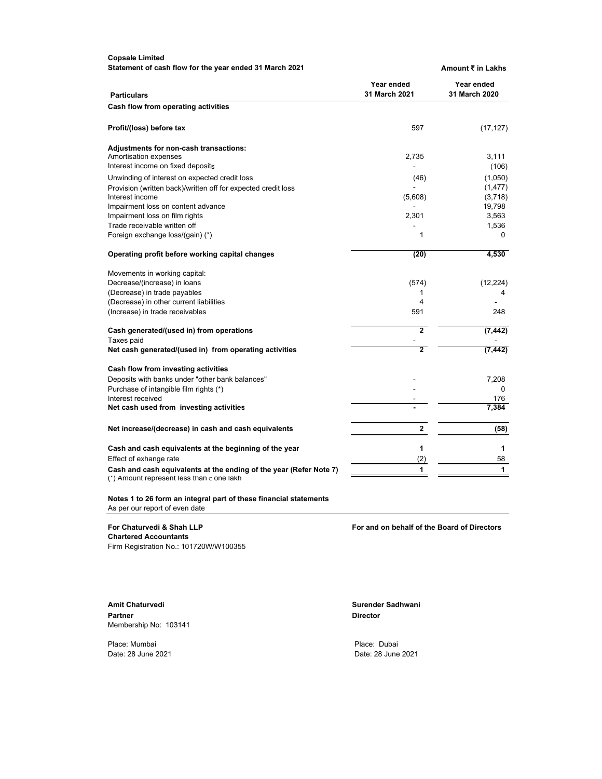**Statement of cash flow for the year ended 31 March 2021 <b>Amount** ₹ in Lakhs

| <b>Particulars</b>                                                                                              | Year ended<br>31 March 2021 | Year ended<br>31 March 2020 |  |
|-----------------------------------------------------------------------------------------------------------------|-----------------------------|-----------------------------|--|
| Cash flow from operating activities                                                                             |                             |                             |  |
| Profit/(loss) before tax                                                                                        | 597                         | (17, 127)                   |  |
| <b>Adjustments for non-cash transactions:</b>                                                                   |                             |                             |  |
| Amortisation expenses                                                                                           | 2,735                       | 3,111                       |  |
| Interest income on fixed deposits                                                                               |                             | (106)                       |  |
| Unwinding of interest on expected credit loss                                                                   | (46)                        | (1,050)                     |  |
| Provision (written back)/written off for expected credit loss                                                   |                             | (1, 477)                    |  |
| Interest income                                                                                                 | (5,608)                     | (3,718)                     |  |
| Impairment loss on content advance                                                                              |                             | 19,798                      |  |
| Impairment loss on film rights                                                                                  | 2,301                       | 3,563                       |  |
| Trade receivable written off                                                                                    |                             | 1,536                       |  |
| Foreign exchange loss/(gain) (*)                                                                                | 1                           | 0                           |  |
| Operating profit before working capital changes                                                                 | (20)                        | 4,530                       |  |
| Movements in working capital:                                                                                   |                             |                             |  |
| Decrease/(increase) in loans                                                                                    | (574)                       | (12, 224)                   |  |
| (Decrease) in trade payables                                                                                    | 1                           | 4                           |  |
| (Decrease) in other current liabilities                                                                         | 4                           |                             |  |
| (Increase) in trade receivables                                                                                 | 591                         | 248                         |  |
| Cash generated/(used in) from operations                                                                        | 2                           | (7, 442)                    |  |
| Taxes paid                                                                                                      |                             |                             |  |
| Net cash generated/(used in) from operating activities                                                          | $\overline{2}$              | (7, 442)                    |  |
| Cash flow from investing activities                                                                             |                             |                             |  |
| Deposits with banks under "other bank balances"                                                                 |                             | 7,208                       |  |
| Purchase of intangible film rights (*)                                                                          |                             | 0                           |  |
| Interest received                                                                                               |                             | 176                         |  |
| Net cash used from investing activities                                                                         |                             | 7,384                       |  |
| Net increase/(decrease) in cash and cash equivalents                                                            | 2                           | (58)                        |  |
| Cash and cash equivalents at the beginning of the year                                                          | 1                           | 1                           |  |
| Effect of exhange rate                                                                                          | (2)                         | 58                          |  |
| Cash and cash equivalents at the ending of the year (Refer Note 7)<br>(*) Amount represent less than c one lakh | 1                           | 1                           |  |

**Notes 1 to 26 form an integral part of these financial statements** As per our report of even date

**Chartered Accountants** Firm Registration No.: 101720W/W100355

**For Chaturvedi & Shah LLP For and on behalf of the Board of Directors**

Amit Chaturvedi **Surender Sadhwani** Surender Sadhwani Partner **Director** Membership No: 103141

Place: Mumbai **Place:** Dubai Place: Dubai Date: 28 June 2021 Date: 28 June 2021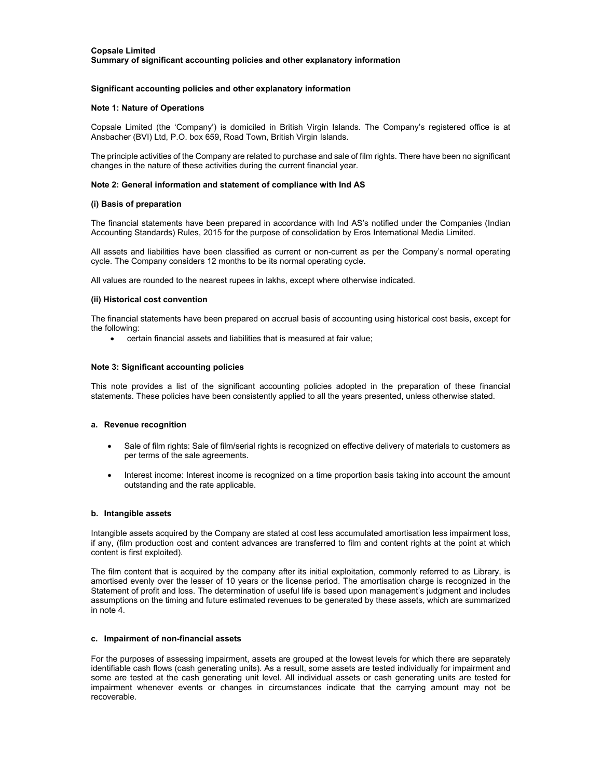#### **Significant accounting policies and other explanatory information**

#### **Note 1: Nature of Operations**

Copsale Limited (the 'Company') is domiciled in British Virgin Islands. The Company's registered office is at Ansbacher (BVI) Ltd, P.O. box 659, Road Town, British Virgin Islands.

The principle activities of the Company are related to purchase and sale of film rights. There have been no significant changes in the nature of these activities during the current financial year.

#### **Note 2: General information and statement of compliance with Ind AS**

#### **(i) Basis of preparation**

The financial statements have been prepared in accordance with Ind AS's notified under the Companies (Indian Accounting Standards) Rules, 2015 for the purpose of consolidation by Eros International Media Limited.

All assets and liabilities have been classified as current or non-current as per the Company's normal operating cycle. The Company considers 12 months to be its normal operating cycle.

All values are rounded to the nearest rupees in lakhs, except where otherwise indicated.

#### **(ii) Historical cost convention**

The financial statements have been prepared on accrual basis of accounting using historical cost basis, except for the following:

certain financial assets and liabilities that is measured at fair value;

### **Note 3: Significant accounting policies**

This note provides a list of the significant accounting policies adopted in the preparation of these financial statements. These policies have been consistently applied to all the years presented, unless otherwise stated.

#### **a. Revenue recognition**

- Sale of film rights: Sale of film/serial rights is recognized on effective delivery of materials to customers as per terms of the sale agreements.
- Interest income: Interest income is recognized on a time proportion basis taking into account the amount outstanding and the rate applicable.

#### **b. Intangible assets**

Intangible assets acquired by the Company are stated at cost less accumulated amortisation less impairment loss, if any, (film production cost and content advances are transferred to film and content rights at the point at which content is first exploited).

The film content that is acquired by the company after its initial exploitation, commonly referred to as Library, is amortised evenly over the lesser of 10 years or the license period. The amortisation charge is recognized in the Statement of profit and loss. The determination of useful life is based upon management's judgment and includes assumptions on the timing and future estimated revenues to be generated by these assets, which are summarized in note 4.

#### **c. Impairment of non-financial assets**

For the purposes of assessing impairment, assets are grouped at the lowest levels for which there are separately identifiable cash flows (cash generating units). As a result, some assets are tested individually for impairment and some are tested at the cash generating unit level. All individual assets or cash generating units are tested for impairment whenever events or changes in circumstances indicate that the carrying amount may not be recoverable.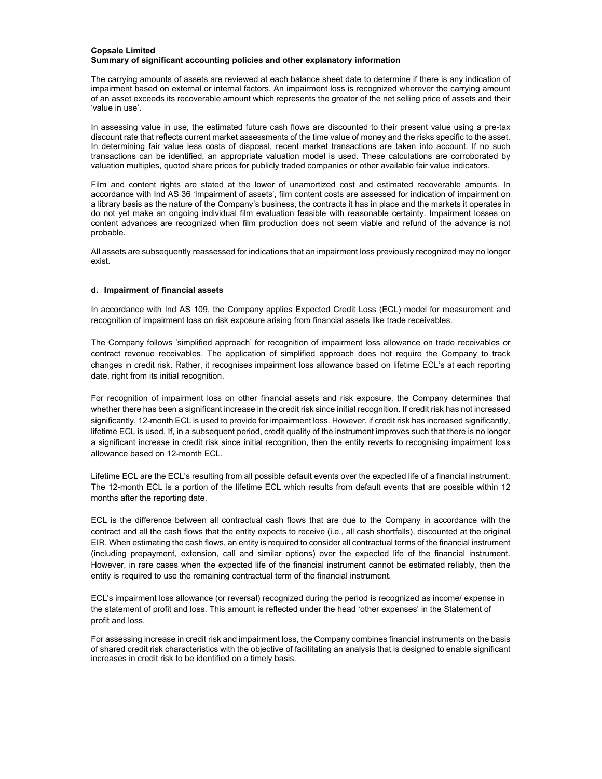The carrying amounts of assets are reviewed at each balance sheet date to determine if there is any indication of impairment based on external or internal factors. An impairment loss is recognized wherever the carrying amount of an asset exceeds its recoverable amount which represents the greater of the net selling price of assets and their 'value in use'.

In assessing value in use, the estimated future cash flows are discounted to their present value using a pre-tax discount rate that reflects current market assessments of the time value of money and the risks specific to the asset. In determining fair value less costs of disposal, recent market transactions are taken into account. If no such transactions can be identified, an appropriate valuation model is used. These calculations are corroborated by valuation multiples, quoted share prices for publicly traded companies or other available fair value indicators.

Film and content rights are stated at the lower of unamortized cost and estimated recoverable amounts. In accordance with Ind AS 36 'Impairment of assets', film content costs are assessed for indication of impairment on a library basis as the nature of the Company's business, the contracts it has in place and the markets it operates in do not yet make an ongoing individual film evaluation feasible with reasonable certainty. Impairment losses on content advances are recognized when film production does not seem viable and refund of the advance is not probable.

All assets are subsequently reassessed for indications that an impairment loss previously recognized may no longer exist.

### **d. Impairment of financial assets**

In accordance with Ind AS 109, the Company applies Expected Credit Loss (ECL) model for measurement and recognition of impairment loss on risk exposure arising from financial assets like trade receivables.

The Company follows 'simplified approach' for recognition of impairment loss allowance on trade receivables or contract revenue receivables. The application of simplified approach does not require the Company to track changes in credit risk. Rather, it recognises impairment loss allowance based on lifetime ECL's at each reporting date, right from its initial recognition.

For recognition of impairment loss on other financial assets and risk exposure, the Company determines that whether there has been a significant increase in the credit risk since initial recognition. If credit risk has not increased significantly, 12-month ECL is used to provide for impairment loss. However, if credit risk has increased significantly, lifetime ECL is used. If, in a subsequent period, credit quality of the instrument improves such that there is no longer a significant increase in credit risk since initial recognition, then the entity reverts to recognising impairment loss allowance based on 12-month ECL.

Lifetime ECL are the ECL's resulting from all possible default events over the expected life of a financial instrument. The 12-month ECL is a portion of the lifetime ECL which results from default events that are possible within 12 months after the reporting date.

ECL is the difference between all contractual cash flows that are due to the Company in accordance with the contract and all the cash flows that the entity expects to receive (i.e., all cash shortfalls), discounted at the original EIR. When estimating the cash flows, an entity is required to consider all contractual terms of the financial instrument (including prepayment, extension, call and similar options) over the expected life of the financial instrument. However, in rare cases when the expected life of the financial instrument cannot be estimated reliably, then the entity is required to use the remaining contractual term of the financial instrument.

ECL's impairment loss allowance (or reversal) recognized during the period is recognized as income/ expense in the statement of profit and loss. This amount is reflected under the head 'other expenses' in the Statement of profit and loss.

For assessing increase in credit risk and impairment loss, the Company combines financial instruments on the basis of shared credit risk characteristics with the objective of facilitating an analysis that is designed to enable significant increases in credit risk to be identified on a timely basis.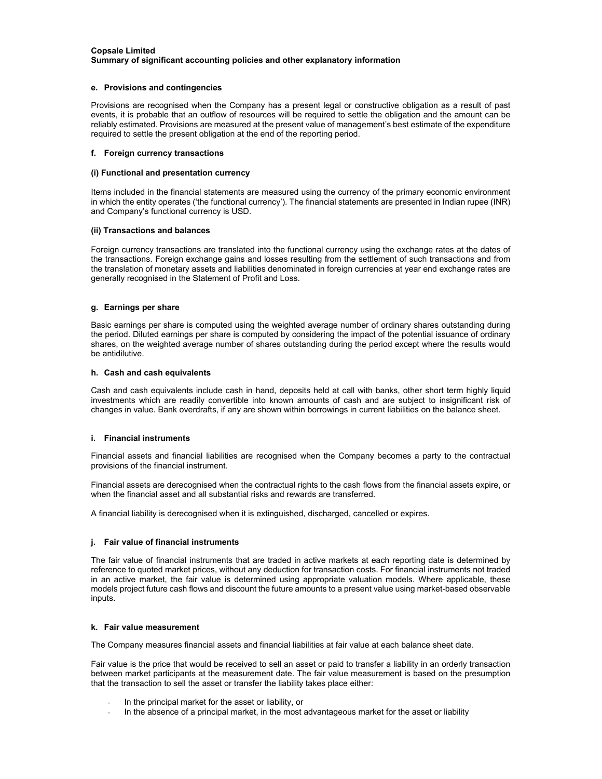#### **e. Provisions and contingencies**

Provisions are recognised when the Company has a present legal or constructive obligation as a result of past events, it is probable that an outflow of resources will be required to settle the obligation and the amount can be reliably estimated. Provisions are measured at the present value of management's best estimate of the expenditure required to settle the present obligation at the end of the reporting period.

#### **f. Foreign currency transactions**

#### **(i) Functional and presentation currency**

Items included in the financial statements are measured using the currency of the primary economic environment in which the entity operates ('the functional currency'). The financial statements are presented in Indian rupee (INR) and Company's functional currency is USD.

### **(ii) Transactions and balances**

Foreign currency transactions are translated into the functional currency using the exchange rates at the dates of the transactions. Foreign exchange gains and losses resulting from the settlement of such transactions and from the translation of monetary assets and liabilities denominated in foreign currencies at year end exchange rates are generally recognised in the Statement of Profit and Loss.

### **g. Earnings per share**

Basic earnings per share is computed using the weighted average number of ordinary shares outstanding during the period. Diluted earnings per share is computed by considering the impact of the potential issuance of ordinary shares, on the weighted average number of shares outstanding during the period except where the results would be antidilutive.

#### **h. Cash and cash equivalents**

Cash and cash equivalents include cash in hand, deposits held at call with banks, other short term highly liquid investments which are readily convertible into known amounts of cash and are subject to insignificant risk of changes in value. Bank overdrafts, if any are shown within borrowings in current liabilities on the balance sheet.

#### **i. Financial instruments**

Financial assets and financial liabilities are recognised when the Company becomes a party to the contractual provisions of the financial instrument.

Financial assets are derecognised when the contractual rights to the cash flows from the financial assets expire, or when the financial asset and all substantial risks and rewards are transferred.

A financial liability is derecognised when it is extinguished, discharged, cancelled or expires.

#### **j. Fair value of financial instruments**

The fair value of financial instruments that are traded in active markets at each reporting date is determined by reference to quoted market prices, without any deduction for transaction costs. For financial instruments not traded in an active market, the fair value is determined using appropriate valuation models. Where applicable, these models project future cash flows and discount the future amounts to a present value using market-based observable inputs.

#### **k. Fair value measurement**

The Company measures financial assets and financial liabilities at fair value at each balance sheet date.

Fair value is the price that would be received to sell an asset or paid to transfer a liability in an orderly transaction between market participants at the measurement date. The fair value measurement is based on the presumption that the transaction to sell the asset or transfer the liability takes place either:

- In the principal market for the asset or liability, or
- In the absence of a principal market, in the most advantageous market for the asset or liability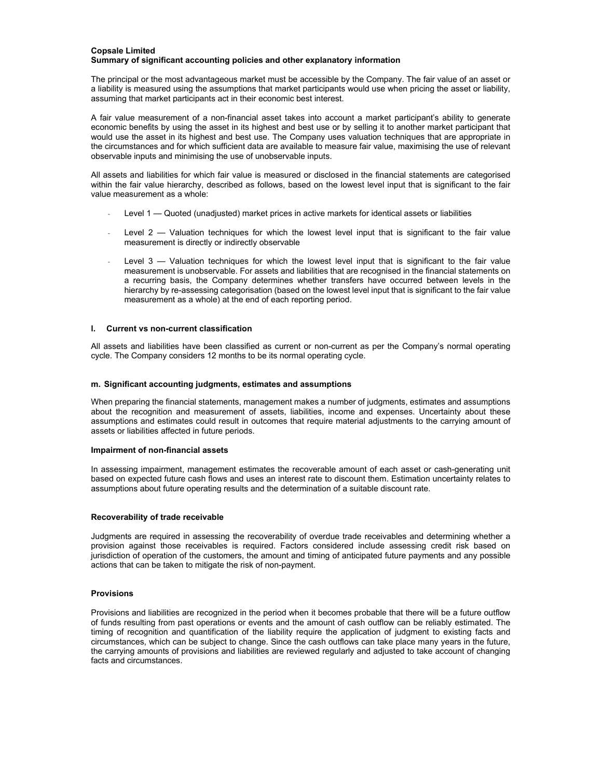The principal or the most advantageous market must be accessible by the Company. The fair value of an asset or a liability is measured using the assumptions that market participants would use when pricing the asset or liability, assuming that market participants act in their economic best interest.

A fair value measurement of a non-financial asset takes into account a market participant's ability to generate economic benefits by using the asset in its highest and best use or by selling it to another market participant that would use the asset in its highest and best use. The Company uses valuation techniques that are appropriate in the circumstances and for which sufficient data are available to measure fair value, maximising the use of relevant observable inputs and minimising the use of unobservable inputs.

All assets and liabilities for which fair value is measured or disclosed in the financial statements are categorised within the fair value hierarchy, described as follows, based on the lowest level input that is significant to the fair value measurement as a whole:

- Level 1 Quoted (unadjusted) market prices in active markets for identical assets or liabilities
- Level  $2$  Valuation techniques for which the lowest level input that is significant to the fair value measurement is directly or indirectly observable
- Level  $3$  Valuation techniques for which the lowest level input that is significant to the fair value measurement is unobservable. For assets and liabilities that are recognised in the financial statements on a recurring basis, the Company determines whether transfers have occurred between levels in the hierarchy by re-assessing categorisation (based on the lowest level input that is significant to the fair value measurement as a whole) at the end of each reporting period.

#### **l. Current vs non-current classification**

All assets and liabilities have been classified as current or non-current as per the Company's normal operating cycle. The Company considers 12 months to be its normal operating cycle.

#### **m. Significant accounting judgments, estimates and assumptions**

When preparing the financial statements, management makes a number of judgments, estimates and assumptions about the recognition and measurement of assets, liabilities, income and expenses. Uncertainty about these assumptions and estimates could result in outcomes that require material adjustments to the carrying amount of assets or liabilities affected in future periods.

#### **Impairment of non-financial assets**

In assessing impairment, management estimates the recoverable amount of each asset or cash-generating unit based on expected future cash flows and uses an interest rate to discount them. Estimation uncertainty relates to assumptions about future operating results and the determination of a suitable discount rate.

#### **Recoverability of trade receivable**

Judgments are required in assessing the recoverability of overdue trade receivables and determining whether a provision against those receivables is required. Factors considered include assessing credit risk based on jurisdiction of operation of the customers, the amount and timing of anticipated future payments and any possible actions that can be taken to mitigate the risk of non-payment.

#### **Provisions**

Provisions and liabilities are recognized in the period when it becomes probable that there will be a future outflow of funds resulting from past operations or events and the amount of cash outflow can be reliably estimated. The timing of recognition and quantification of the liability require the application of judgment to existing facts and circumstances, which can be subject to change. Since the cash outflows can take place many years in the future, the carrying amounts of provisions and liabilities are reviewed regularly and adjusted to take account of changing facts and circumstances.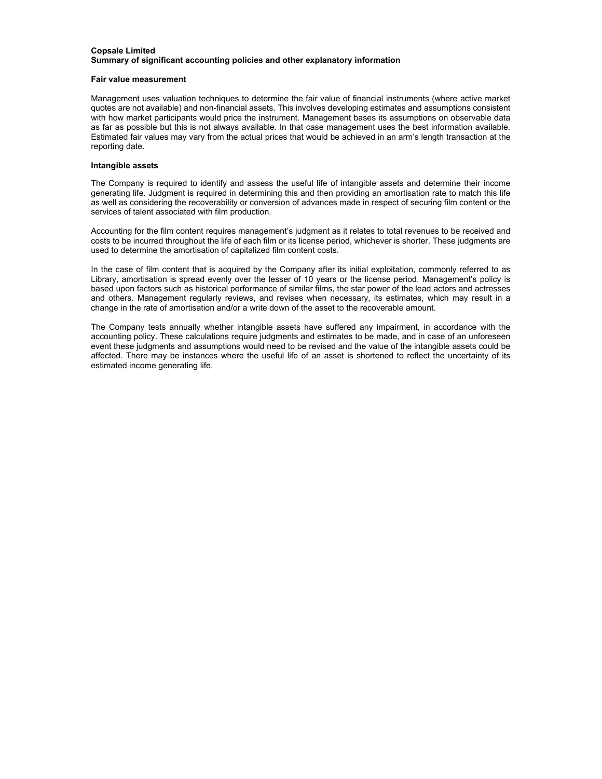#### **Fair value measurement**

Management uses valuation techniques to determine the fair value of financial instruments (where active market quotes are not available) and non-financial assets. This involves developing estimates and assumptions consistent with how market participants would price the instrument. Management bases its assumptions on observable data as far as possible but this is not always available. In that case management uses the best information available. Estimated fair values may vary from the actual prices that would be achieved in an arm's length transaction at the reporting date.

#### **Intangible assets**

The Company is required to identify and assess the useful life of intangible assets and determine their income generating life. Judgment is required in determining this and then providing an amortisation rate to match this life as well as considering the recoverability or conversion of advances made in respect of securing film content or the services of talent associated with film production.

Accounting for the film content requires management's judgment as it relates to total revenues to be received and costs to be incurred throughout the life of each film or its license period, whichever is shorter. These judgments are used to determine the amortisation of capitalized film content costs.

In the case of film content that is acquired by the Company after its initial exploitation, commonly referred to as Library, amortisation is spread evenly over the lesser of 10 years or the license period. Management's policy is based upon factors such as historical performance of similar films, the star power of the lead actors and actresses and others. Management regularly reviews, and revises when necessary, its estimates, which may result in a change in the rate of amortisation and/or a write down of the asset to the recoverable amount.

The Company tests annually whether intangible assets have suffered any impairment, in accordance with the accounting policy. These calculations require judgments and estimates to be made, and in case of an unforeseen event these judgments and assumptions would need to be revised and the value of the intangible assets could be affected. There may be instances where the useful life of an asset is shortened to reflect the uncertainty of its estimated income generating life.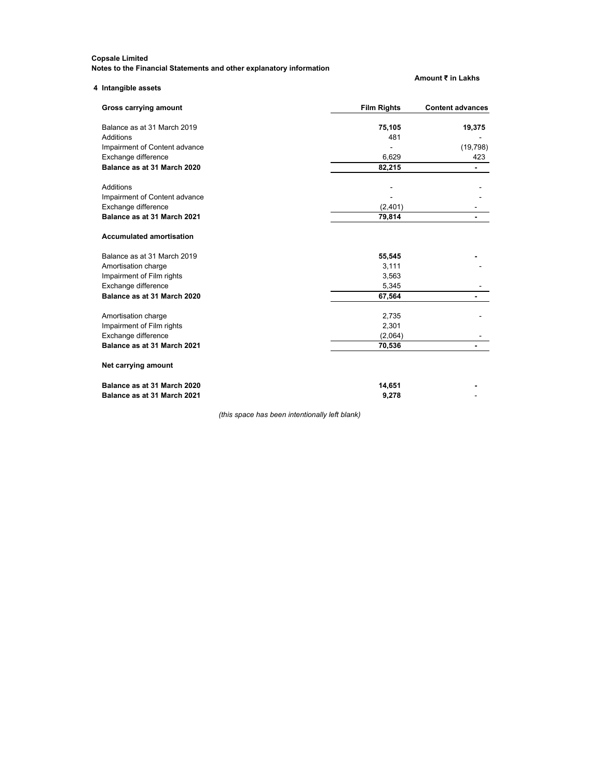**Notes to the Financial Statements and other explanatory information**

| Notes to the Financial Statements and other explanatory information_ |                    | Amount ₹ in Lakhs       |
|----------------------------------------------------------------------|--------------------|-------------------------|
| 4 Intangible assets                                                  |                    |                         |
| Gross carrying amount                                                | <b>Film Rights</b> | <b>Content advances</b> |
| Balance as at 31 March 2019                                          | 75,105             | 19,375                  |
| Additions                                                            | 481                |                         |
| Impairment of Content advance                                        |                    | (19, 798)               |
| Exchange difference                                                  | 6,629              | 423                     |
| Balance as at 31 March 2020                                          | 82,215             |                         |
| <b>Additions</b>                                                     |                    |                         |
| Impairment of Content advance                                        |                    |                         |
| Exchange difference                                                  | (2,401)            |                         |
| Balance as at 31 March 2021                                          | 79,814             |                         |
| <b>Accumulated amortisation</b>                                      |                    |                         |
| Balance as at 31 March 2019                                          | 55,545             |                         |
| Amortisation charge                                                  | 3,111              |                         |
| Impairment of Film rights                                            | 3,563              |                         |
| Exchange difference                                                  | 5,345              |                         |
| Balance as at 31 March 2020                                          | 67,564             |                         |
| Amortisation charge                                                  | 2,735              |                         |
| Impairment of Film rights                                            | 2,301              |                         |
| Exchange difference                                                  | (2,064)            |                         |
| Balance as at 31 March 2021                                          | 70,536             |                         |
| Net carrying amount                                                  |                    |                         |
| Balance as at 31 March 2020                                          | 14,651             |                         |
| Balance as at 31 March 2021                                          | 9,278              |                         |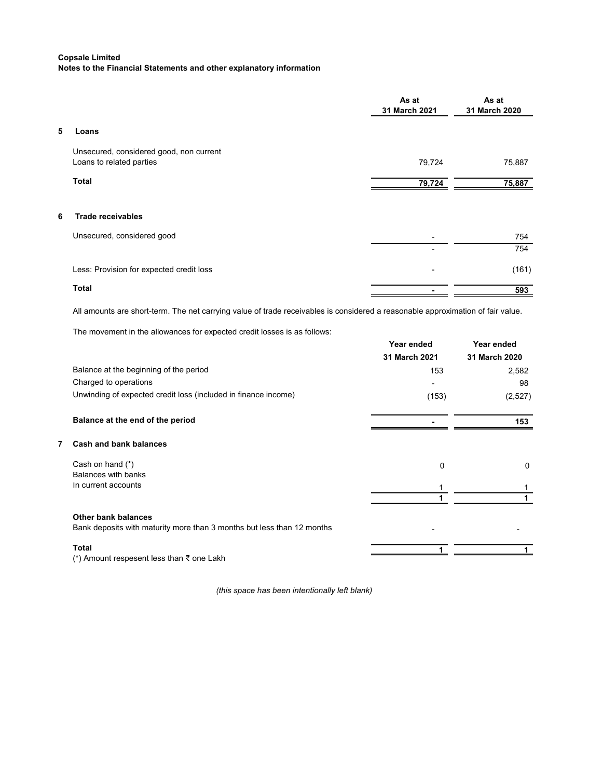|                                                                     | As at<br>31 March 2021 | As at<br>31 March 2020 |
|---------------------------------------------------------------------|------------------------|------------------------|
| 5<br>Loans                                                          |                        |                        |
| Unsecured, considered good, non current<br>Loans to related parties | 79,724                 | 75,887                 |
| <b>Total</b>                                                        | 79,724                 | 75,887                 |
| <b>Trade receivables</b><br>6                                       |                        |                        |
| Unsecured, considered good                                          |                        | 754                    |
|                                                                     |                        | 754                    |
| Less: Provision for expected credit loss                            | ٠                      | (161)                  |
| Total                                                               |                        | 593                    |

All amounts are short-term. The net carrying value of trade receivables is considered a reasonable approximation of fair value.

The movement in the allowances for expected credit losses is as follows:

|   |                                                                                                      | Year ended<br>31 March 2021 | Year ended<br>31 March 2020 |
|---|------------------------------------------------------------------------------------------------------|-----------------------------|-----------------------------|
|   | Balance at the beginning of the period                                                               | 153                         | 2,582                       |
|   | Charged to operations                                                                                |                             | 98                          |
|   | Unwinding of expected credit loss (included in finance income)                                       | (153)                       | (2,527)                     |
|   | Balance at the end of the period                                                                     |                             | 153                         |
| 7 | <b>Cash and bank balances</b>                                                                        |                             |                             |
|   | Cash on hand (*)                                                                                     | 0                           | 0                           |
|   | <b>Balances with banks</b><br>In current accounts                                                    |                             |                             |
|   |                                                                                                      |                             |                             |
|   | <b>Other bank balances</b><br>Bank deposits with maturity more than 3 months but less than 12 months |                             |                             |
|   | Total                                                                                                |                             |                             |
|   | (*) Amount respesent less than ₹ one Lakh                                                            |                             |                             |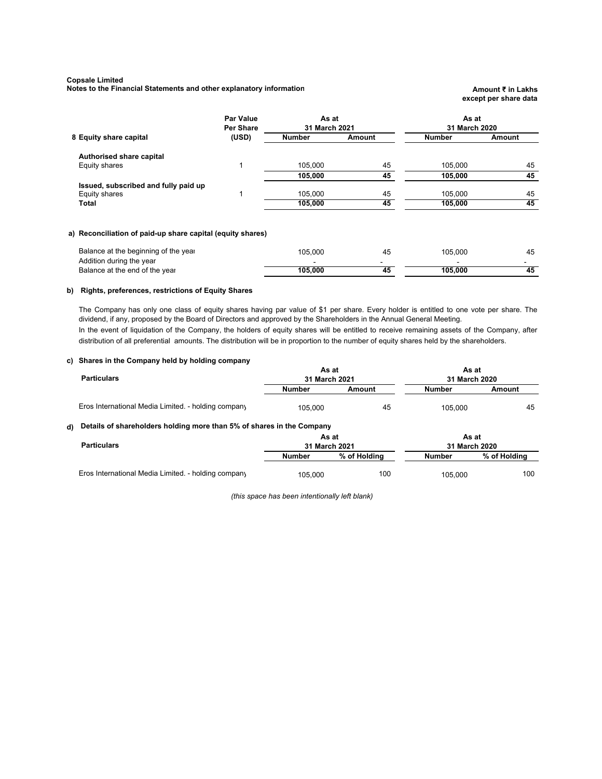**Notes to the Financial Statements and other explanatory information <b>Amount Amount E** in Lakhs

# **except per share data**

|                                      | <b>Par Value</b><br>Per Share | As at<br>31 March 2021 |        | As at<br>31 March 2020 |        |
|--------------------------------------|-------------------------------|------------------------|--------|------------------------|--------|
| 8 Equity share capital               | (USD)                         | Number                 | Amount | <b>Number</b>          | Amount |
| Authorised share capital             |                               |                        |        |                        |        |
| Equity shares                        |                               | 105.000                | 45     | 105.000                | 45     |
|                                      |                               | 105,000                | 45     | 105,000                | 45     |
| Issued, subscribed and fully paid up |                               |                        |        |                        |        |
| Equity shares                        |                               | 105.000                | 45     | 105.000                | 45     |
| Total                                |                               | 105,000                | 45     | 105.000                | 45     |
|                                      |                               |                        |        |                        |        |

#### **a) Reconciliation of paid-up share capital (equity shares)**

| Addition during the year                  |               |    |
|-------------------------------------------|---------------|----|
| 105.000<br>Balance at the end of the year | 105.000<br>45 | 45 |
|                                           |               |    |

#### **b) Rights, preferences, restrictions of Equity Shares**

The Company has only one class of equity shares having par value of \$1 per share. Every holder is entitled to one vote per share. The dividend, if any, proposed by the Board of Directors and approved by the Shareholders in the Annual General Meeting. In the event of liquidation of the Company, the holders of equity shares will be entitled to receive remaining assets of the Company, after distribution of all preferential amounts. The distribution will be in proportion to the number of equity shares held by the shareholders.

#### **c) Shares in the Company held by holding company**

| <b>Particulars</b>                                  | As at<br>31 March 2021 |        | As at<br>31 March 2020 |        |
|-----------------------------------------------------|------------------------|--------|------------------------|--------|
|                                                     | <b>Number</b>          | Amount | Number                 | Amount |
| Eros International Media Limited. - holding company | 105,000                | 45     | 105.000                | 45     |

## **d) Details of shareholders holding more than 5% of shares in the Company**

|                                                     | As at<br>31 March 2021 |              | As at<br>31 March 2020 |              |
|-----------------------------------------------------|------------------------|--------------|------------------------|--------------|
| <b>Particulars</b>                                  |                        |              |                        |              |
|                                                     | Number                 | % of Holding | Number                 | % of Holding |
| Eros International Media Limited. - holding company | 105,000                | 100          | 105,000                | 100          |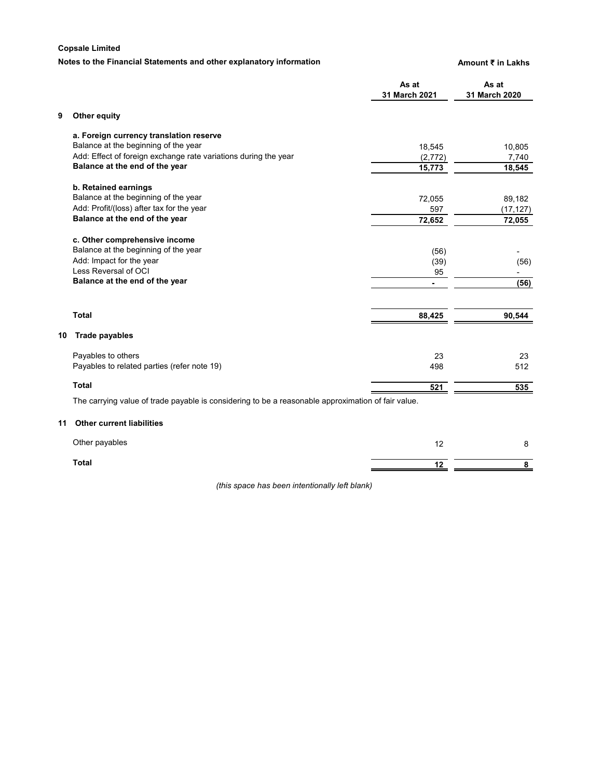# **Notes to the Financial Statements and other explanatory information <b>Amount E** in Lakhs

|    |                                                                                                    | As at<br>31 March 2021 | As at<br>31 March 2020 |
|----|----------------------------------------------------------------------------------------------------|------------------------|------------------------|
| 9  | Other equity                                                                                       |                        |                        |
|    | a. Foreign currency translation reserve                                                            |                        |                        |
|    | Balance at the beginning of the year                                                               | 18,545                 | 10,805                 |
|    | Add: Effect of foreign exchange rate variations during the year                                    | (2, 772)               | 7,740                  |
|    | Balance at the end of the year                                                                     | 15,773                 | 18,545                 |
|    | b. Retained earnings                                                                               |                        |                        |
|    | Balance at the beginning of the year                                                               | 72,055                 | 89,182                 |
|    | Add: Profit/(loss) after tax for the year                                                          | 597                    | (17, 127)              |
|    | Balance at the end of the year                                                                     | 72,652                 | 72,055                 |
|    | c. Other comprehensive income                                                                      |                        |                        |
|    | Balance at the beginning of the year                                                               | (56)                   |                        |
|    | Add: Impact for the year                                                                           | (39)                   | (56)                   |
|    | Less Reversal of OCI                                                                               | 95                     |                        |
|    | Balance at the end of the year                                                                     | ÷.                     | (56)                   |
|    |                                                                                                    |                        |                        |
|    | <b>Total</b>                                                                                       | 88,425                 | 90,544                 |
| 10 | <b>Trade payables</b>                                                                              |                        |                        |
|    | Payables to others                                                                                 | 23                     | 23                     |
|    | Payables to related parties (refer note 19)                                                        | 498                    | 512                    |
|    | <b>Total</b>                                                                                       | 521                    | 535                    |
|    | The carrying value of trade payable is considering to be a reasonable approximation of fair value. |                        |                        |
| 11 | <b>Other current liabilities</b>                                                                   |                        |                        |
|    | Other payables                                                                                     | 12                     | 8                      |
|    | <b>Total</b>                                                                                       | 12                     | 8                      |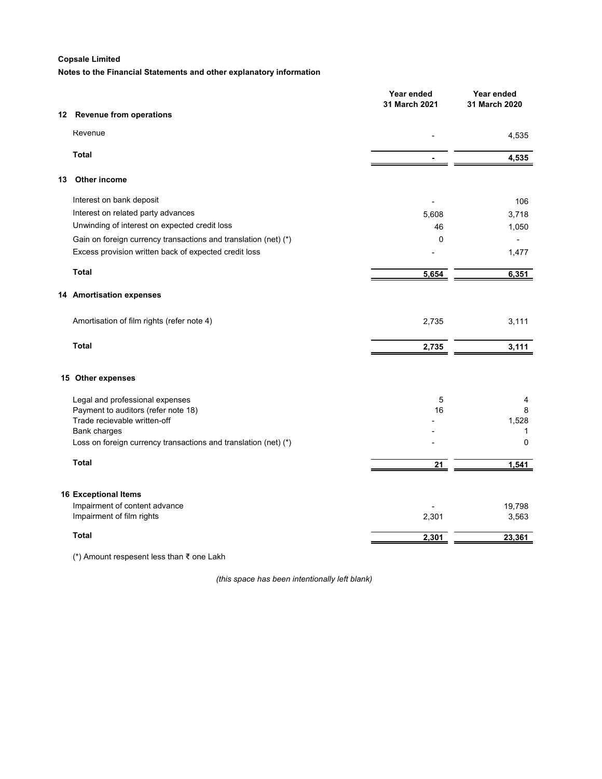**Notes to the Financial Statements and other explanatory information**

|    |                                                                 | Year ended<br>31 March 2021 | Year ended<br>31 March 2020 |
|----|-----------------------------------------------------------------|-----------------------------|-----------------------------|
| 12 | <b>Revenue from operations</b>                                  |                             |                             |
|    | Revenue                                                         |                             |                             |
|    |                                                                 |                             | 4,535                       |
|    | <b>Total</b>                                                    |                             | 4,535                       |
| 13 | Other income                                                    |                             |                             |
|    | Interest on bank deposit                                        |                             | 106                         |
|    | Interest on related party advances                              | 5,608                       | 3,718                       |
|    | Unwinding of interest on expected credit loss                   | 46                          | 1,050                       |
|    | Gain on foreign currency transactions and translation (net) (*) | 0                           | $\blacksquare$              |
|    | Excess provision written back of expected credit loss           |                             | 1,477                       |
|    | <b>Total</b>                                                    | 5,654                       | 6,351                       |
|    | 14 Amortisation expenses                                        |                             |                             |
|    | Amortisation of film rights (refer note 4)                      | 2,735                       | 3,111                       |
|    | <b>Total</b>                                                    | 2,735                       | 3,111                       |
|    | 15 Other expenses                                               |                             |                             |
|    | Legal and professional expenses                                 | 5                           | 4                           |
|    | Payment to auditors (refer note 18)                             | 16                          | 8                           |
|    | Trade recievable written-off                                    |                             | 1,528                       |
|    | Bank charges                                                    |                             | $\mathbf 1$                 |
|    | Loss on foreign currency transactions and translation (net) (*) |                             | 0                           |
|    | <b>Total</b>                                                    | 21                          | 1,541                       |
|    |                                                                 |                             |                             |
|    | <b>16 Exceptional Items</b>                                     |                             |                             |
|    | Impairment of content advance<br>Impairment of film rights      | 2,301                       | 19,798<br>3,563             |
|    |                                                                 |                             |                             |
|    | <b>Total</b>                                                    | 2,301                       | 23,361                      |

(\*) Amount respesent less than ₹ one Lakh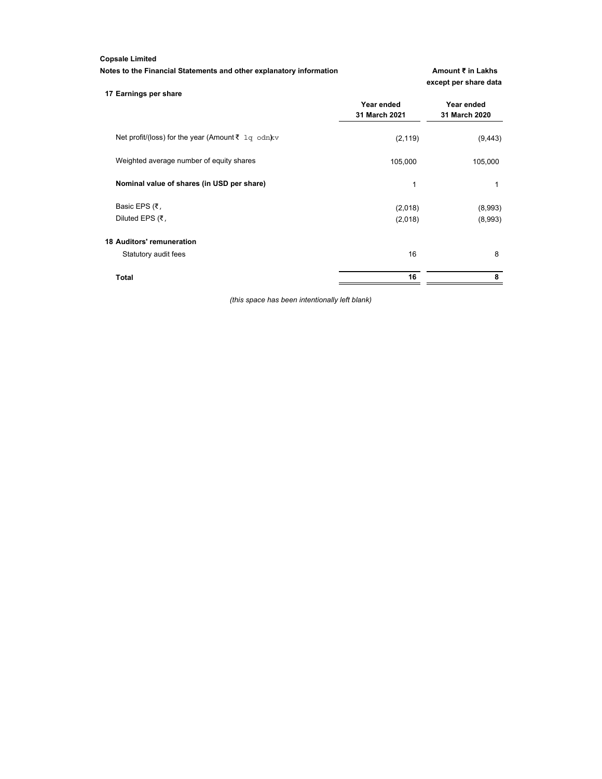**Notes to the Financial Statements and other explanatory information <b>Amount ₹** in Lakhs

**except per share data**

| 17 Earnings per share                                |               |               |
|------------------------------------------------------|---------------|---------------|
|                                                      | Year ended    | Year ended    |
|                                                      | 31 March 2021 | 31 March 2020 |
| Net profit/(loss) for the year (Amount ₹ $1q$ odn)kv | (2, 119)      | (9, 443)      |
| Weighted average number of equity shares             | 105,000       | 105,000       |
| Nominal value of shares (in USD per share)           | 1             | 1             |
| Basic EPS (₹,                                        | (2,018)       | (8,993)       |
| Diluted EPS (₹,                                      | (2,018)       | (8,993)       |
| <b>18 Auditors' remuneration</b>                     |               |               |
| Statutory audit fees                                 | 16            | 8             |
| Total                                                | 16            | 8             |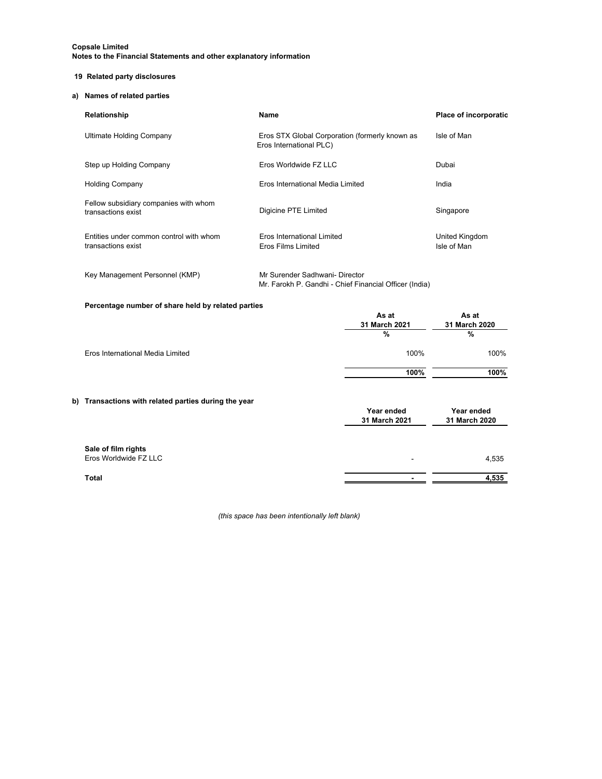#### **19 Related party disclosures**

#### **a) Names of related parties**

| Relationship                                                  | Name                                                                      | <b>Place of incorporatio</b>  |
|---------------------------------------------------------------|---------------------------------------------------------------------------|-------------------------------|
| Ultimate Holding Company                                      | Eros STX Global Corporation (formerly known as<br>Eros International PLC) | Isle of Man                   |
| Step up Holding Company                                       | Eros Worldwide FZ LLC                                                     | Dubai                         |
| <b>Holding Company</b>                                        | Eros International Media Limited                                          | India                         |
| Fellow subsidiary companies with whom<br>transactions exist   | Digicine PTE Limited                                                      | Singapore                     |
| Entities under common control with whom<br>transactions exist | Eros International Limited<br>Eros Films Limited                          | United Kingdom<br>Isle of Man |

#### Key Management Personnel (KMP) Mr Surender Sadhwani- Director Mr. Farokh P. Gandhi - Chief Financial Officer (India)

#### **Percentage number of share held by related parties**

|                                                      | As at<br>31 March 2021<br>% | As at<br>31 March 2020<br>% |
|------------------------------------------------------|-----------------------------|-----------------------------|
| Eros International Media Limited                     | 100%                        | 100%                        |
|                                                      | 100%                        | 100%                        |
| b) Transactions with related parties during the year | Year ended                  | Year ended                  |

|                                              | 31 March 2021 | 31 March 2020 |
|----------------------------------------------|---------------|---------------|
|                                              |               |               |
| Sale of film rights<br>Eros Worldwide FZ LLC | ۰             | 4,535         |
| Total                                        |               | 4,535         |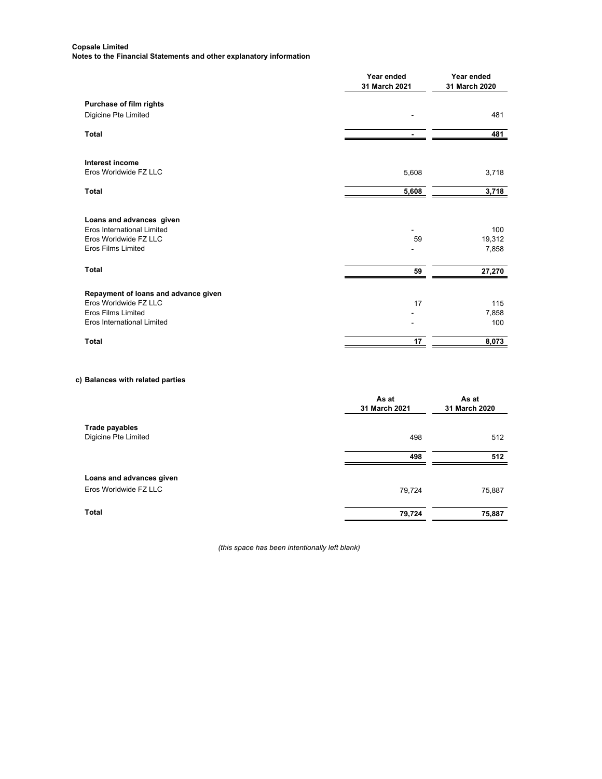|                                                         | Year ended<br>31 March 2021 | Year ended<br>31 March 2020 |
|---------------------------------------------------------|-----------------------------|-----------------------------|
| Purchase of film rights<br>Digicine Pte Limited         |                             | 481                         |
|                                                         |                             |                             |
| <b>Total</b>                                            |                             | 481                         |
| Interest income                                         |                             |                             |
| Eros Worldwide FZ LLC                                   | 5,608                       | 3,718                       |
| <b>Total</b>                                            | 5,608                       | 3,718                       |
| Loans and advances given<br>Eros International Limited  |                             | 100                         |
| Eros Worldwide FZ LLC<br><b>Eros Films Limited</b>      | 59                          | 19,312<br>7,858             |
| <b>Total</b>                                            | 59                          | 27,270                      |
| Repayment of loans and advance given                    |                             |                             |
| Eros Worldwide FZ LLC                                   | 17                          | 115                         |
| <b>Eros Films Limited</b><br>Eros International Limited |                             | 7,858<br>100                |
| <b>Total</b>                                            | 17                          | 8,073                       |

# **c) Balances with related parties**

|                          | As at<br>31 March 2021 | As at<br>31 March 2020 |
|--------------------------|------------------------|------------------------|
| Trade payables           |                        |                        |
| Digicine Pte Limited     | 498                    | 512                    |
|                          | 498                    | 512                    |
| Loans and advances given |                        |                        |
| Eros Worldwide FZ LLC    | 79,724                 | 75,887                 |
| <b>Total</b>             | 79,724                 | 75,887                 |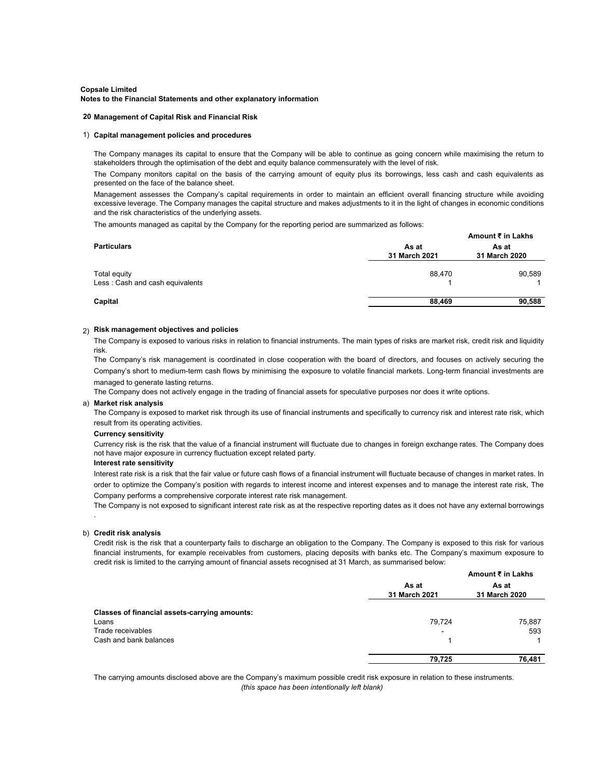#### **20 Management of Capital Risk and Financial Risk**

#### 1) **Capital management policies and procedures**

The Company manages its capital to ensure that the Company will be able to continue as going concern while maximising the return to stakeholders through the optimisation of the debt and equity balance commensurately with the level of risk.

The Company monitors capital on the basis of the carrying amount of equity plus its borrowings, less cash and cash equivalents as presented on the face of the balance sheet.

Management assesses the Company's capital requirements in order to maintain an efficient overall financing structure while avoiding excessive leverage. The Company manages the capital structure and makes adjustments to it in the light of changes in economic conditions and the risk characteristics of the underlying assets.

The amounts managed as capital by the Company for the reporting period are summarized as follows:

|                                                 |                        | Amount ₹ in Lakhs      |  |
|-------------------------------------------------|------------------------|------------------------|--|
| <b>Particulars</b>                              | As at<br>31 March 2021 | As at<br>31 March 2020 |  |
| Total equity<br>Less: Cash and cash equivalents | 88,470                 | 90,589                 |  |
| Capital                                         | 88,469                 | 90,588                 |  |

### 2) **Risk management objectives and policies**

The Company is exposed to various risks in relation to financial instruments. The main types of risks are market risk, credit risk and liquidity risk.

The Company's risk management is coordinated in close cooperation with the board of directors, and focuses on actively securing the Company's short to medium-term cash flows by minimising the exposure to volatile financial markets. Long-term financial investments are managed to generate lasting returns.

The Company does not actively engage in the trading of financial assets for speculative purposes nor does it write options.

#### a) **Market risk analysis**

The Company is exposed to market risk through its use of financial instruments and specifically to currency risk and interest rate risk, which result from its operating activities.

#### **Currency sensitivity**

Currency risk is the risk that the value of a financial instrument will fluctuate due to changes in foreign exchange rates. The Company does not have major exposure in currency fluctuation except related party.

#### **Interest rate sensitivity**

Interest rate risk is a risk that the fair value or future cash flows of a financial instrument will fluctuate because of changes in market rates. In order to optimize the Company's position with regards to interest income and interest expenses and to manage the interest rate risk, The Company performs a comprehensive corporate interest rate risk management.

The Company is not exposed to significant interest rate risk as at the respective reporting dates as it does not have any external borrowings

#### b) **Credit risk analysis**

.

Credit risk is the risk that a counterparty fails to discharge an obligation to the Company. The Company is exposed to this risk for various financial instruments, for example receivables from customers, placing deposits with banks etc. The Company's maximum exposure to credit risk is limited to the carrying amount of financial assets recognised at 31 March, as summarised below:

|                                               | Amount ₹ in Lakhs      |                        |
|-----------------------------------------------|------------------------|------------------------|
|                                               | As at<br>31 March 2021 | As at<br>31 March 2020 |
|                                               |                        |                        |
| Classes of financial assets-carrying amounts: |                        |                        |
| Loans                                         | 79.724                 | 75,887                 |
| Trade receivables                             | ۰                      | 593                    |
| Cash and bank balances                        |                        |                        |
|                                               | 79.725                 | 76.481                 |

The carrying amounts disclosed above are the Company's maximum possible credit risk exposure in relation to these instruments. *(this space has been intentionally left blank)*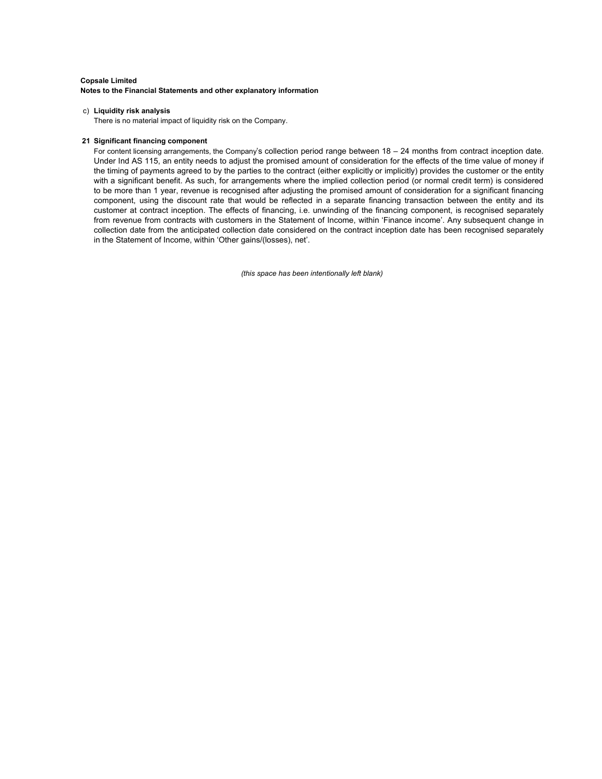#### c) **Liquidity risk analysis**

There is no material impact of liquidity risk on the Company.

#### **21 Significant financing component**

For content licensing arrangements, the Company's collection period range between 18 – 24 months from contract inception date. Under Ind AS 115, an entity needs to adjust the promised amount of consideration for the effects of the time value of money if the timing of payments agreed to by the parties to the contract (either explicitly or implicitly) provides the customer or the entity with a significant benefit. As such, for arrangements where the implied collection period (or normal credit term) is considered to be more than 1 year, revenue is recognised after adjusting the promised amount of consideration for a significant financing component, using the discount rate that would be reflected in a separate financing transaction between the entity and its customer at contract inception. The effects of financing, i.e. unwinding of the financing component, is recognised separately from revenue from contracts with customers in the Statement of Income, within 'Finance income'. Any subsequent change in collection date from the anticipated collection date considered on the contract inception date has been recognised separately in the Statement of Income, within 'Other gains/(losses), net'.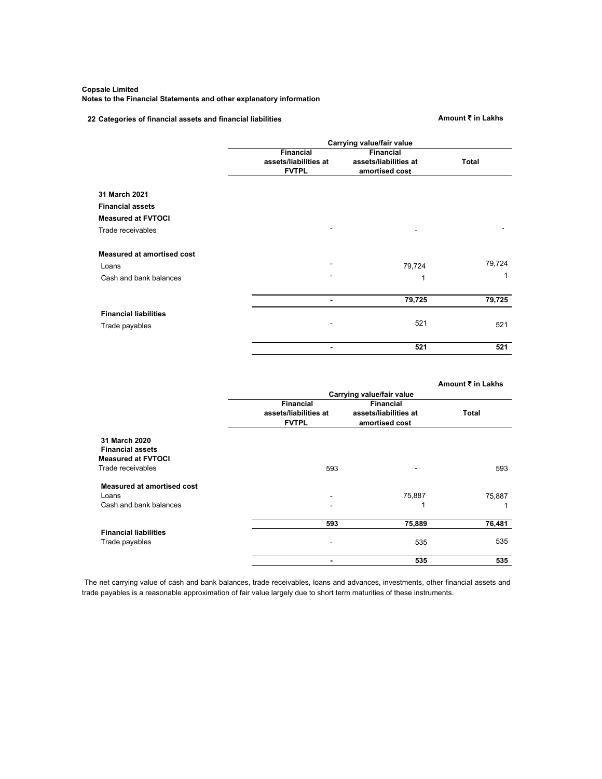#### **Notes to the Financial Statements and other explanatory information**

# **22 Categories of financial assets and financial liabilities <b>Amount ₹** in Lakhs

|                                   | Carrying value/fair value          |                                           |        |
|-----------------------------------|------------------------------------|-------------------------------------------|--------|
|                                   | Financial<br>assets/liabilities at | <b>Financial</b><br>assets/liabilities at | Total  |
|                                   | <b>FVTPL</b>                       | amortised cost                            |        |
| 31 March 2021                     |                                    |                                           |        |
| <b>Financial assets</b>           |                                    |                                           |        |
| <b>Measured at FVTOCI</b>         |                                    |                                           |        |
| Trade receivables                 |                                    |                                           |        |
| <b>Measured at amortised cost</b> |                                    |                                           |        |
| Loans                             |                                    | 79,724                                    | 79,724 |
| Cash and bank balances            |                                    |                                           | 1      |
|                                   | $\blacksquare$                     | 79,725                                    | 79,725 |
| <b>Financial liabilities</b>      |                                    |                                           |        |
| Trade payables                    |                                    | 521                                       | 521    |
|                                   | $\blacksquare$                     | 521                                       | 521    |

|                                   |                                                           |                                                             | Amount ₹ in Lakhs |
|-----------------------------------|-----------------------------------------------------------|-------------------------------------------------------------|-------------------|
|                                   |                                                           | Carrying value/fair value                                   |                   |
|                                   | <b>Financial</b><br>assets/liabilities at<br><b>FVTPL</b> | <b>Financial</b><br>assets/liabilities at<br>amortised cost | Total             |
| 31 March 2020                     |                                                           |                                                             |                   |
| <b>Financial assets</b>           |                                                           |                                                             |                   |
| <b>Measured at FVTOCI</b>         |                                                           |                                                             |                   |
| Trade receivables                 | 593                                                       |                                                             | 593               |
| <b>Measured at amortised cost</b> |                                                           |                                                             |                   |
| Loans                             | ۰                                                         | 75,887                                                      | 75,887            |
| Cash and bank balances            |                                                           | 1                                                           |                   |
|                                   | 593                                                       | 75,889                                                      | 76,481            |
| <b>Financial liabilities</b>      |                                                           |                                                             |                   |
| Trade payables                    |                                                           | 535                                                         | 535               |
|                                   | $\blacksquare$                                            | 535                                                         | 535               |

The net carrying value of cash and bank balances, trade receivables, loans and advances, investments, other financial assets and trade payables is a reasonable approximation of fair value largely due to short term maturities of these instruments.